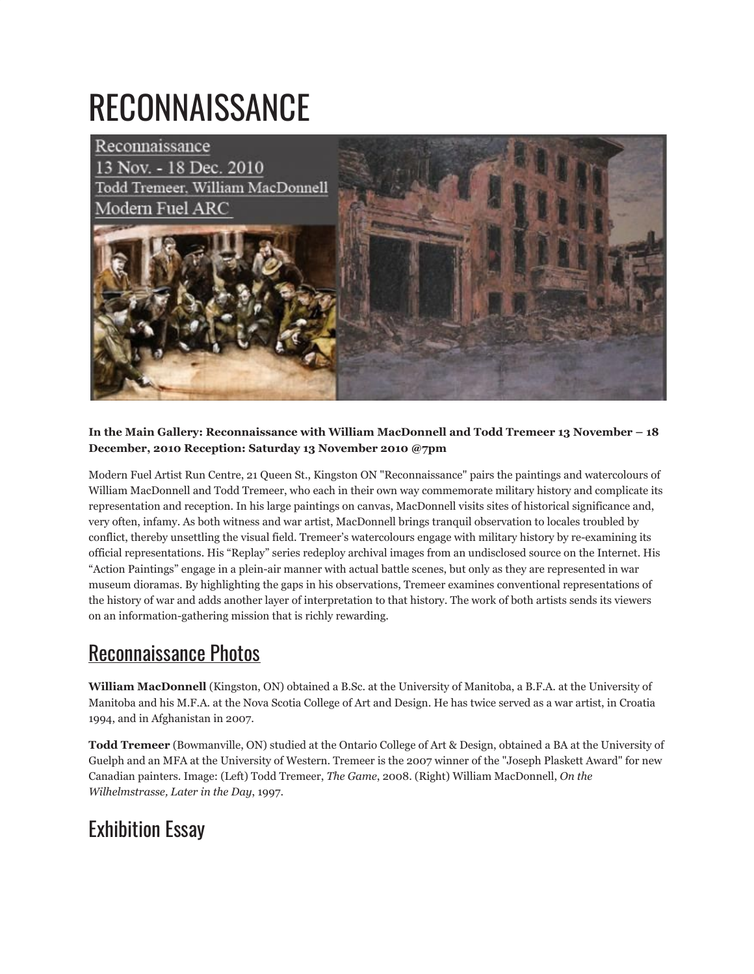## **RECONNAISSANCE**



## **In the Main Gallery: Reconnaissance with William MacDonnell and Todd Tremeer 13 November – 18 December, 2010 Reception: Saturday 13 November 2010 @7pm**

Modern Fuel Artist Run Centre, 21 Queen St., Kingston ON "Reconnaissance" pairs the paintings and watercolours of William MacDonnell and Todd Tremeer, who each in their own way commemorate military history and complicate its representation and reception. In his large paintings on canvas, MacDonnell visits sites of historical significance and, very often, infamy. As both witness and war artist, MacDonnell brings tranquil observation to locales troubled by conflict, thereby unsettling the visual field. Tremeer's watercolours engage with military history by re-examining its official representations. His "Replay" series redeploy archival images from an undisclosed source on the Internet. His "Action Paintings" engage in a plein-air manner with actual battle scenes, but only as they are represented in war museum dioramas. By highlighting the gaps in his observations, Tremeer examines conventional representations of the history of war and adds another layer of interpretation to that history. The work of both artists sends its viewers on an information-gathering mission that is richly rewarding.

## [Reconnaissance](http://www.flickr.com/photos/modernfuel/sets/72157626859245015/) Photos

**William MacDonnell** (Kingston, ON) obtained a B.Sc. at the University of Manitoba, a B.F.A. at the University of Manitoba and his M.F.A. at the Nova Scotia College of Art and Design. He has twice served as a war artist, in Croatia 1994, and in Afghanistan in 2007.

**Todd Tremeer** (Bowmanville, ON) studied at the Ontario College of Art & Design, obtained a BA at the University of Guelph and an MFA at the University of Western. Tremeer is the 2007 winner of the "Joseph Plaskett Award" for new Canadian painters. Image: (Left) Todd Tremeer, *The Game*, 2008. (Right) William MacDonnell, *On the Wilhelmstrasse, Later in the Day*, 1997.

## Exhibition Essay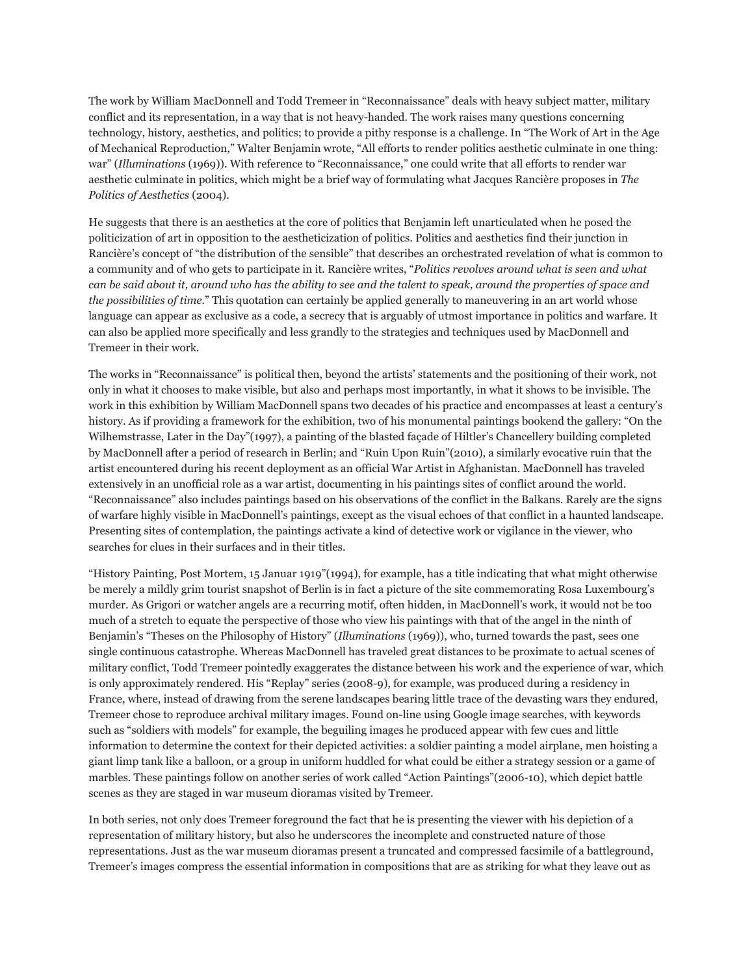The work by William MacDonnell and Todd Tremeer in "Reconnaissance" deals with heavy subject matter, military conflict and its representation, in a way that is not heavy-handed. The work raises many questions concerning technology, history, aesthetics, and politics; to provide a pithy response is a challenge. In "The Work of Art in the Age of Mechanical Reproduction," Walter Benjamin wrote, "All efforts to render politics aesthetic culminate in one thing: war" (*Illuminations* (1969)). With reference to "Reconnaissance," one could write that all efforts to render war aesthetic culminate in politics, which might be a brief way of formulating what Jacques Rancière proposes in *The Politics of Aesthetics* (2004).

He suggests that there is an aesthetics at the core of politics that Benjamin left unarticulated when he posed the politicization of art in opposition to the aestheticization of politics. Politics and aesthetics find their junction in Rancière's concept of "the distribution of the sensible" that describes an orchestrated revelation of what is common to a community and of who gets to participate in it. Rancière writes, "*Politics revolves around what is seen and what can be said about it, around who has the ability to see and the talent to speak, around the properties of space and the possibilities of time.*" This quotation can certainly be applied generally to maneuvering in an art world whose language can appear as exclusive as a code, a secrecy that is arguably of utmost importance in politics and warfare. It can also be applied more specifically and less grandly to the strategies and techniques used by MacDonnell and Tremeer in their work.

The works in "Reconnaissance" is political then, beyond the artists' statements and the positioning of their work, not only in what it chooses to make visible, but also and perhaps most importantly, in what it shows to be invisible. The work in this exhibition by William MacDonnell spans two decades of his practice and encompasses at least a century's history. As if providing a framework for the exhibition, two of his monumental paintings bookend the gallery: "On the Wilhemstrasse, Later in the Day"(1997), a painting of the blasted façade of Hiltler's Chancellery building completed by MacDonnell after a period of research in Berlin; and "Ruin Upon Ruin"(2010), a similarly evocative ruin that the artist encountered during his recent deployment as an official War Artist in Afghanistan. MacDonnell has traveled extensively in an unofficial role as a war artist, documenting in his paintings sites of conflict around the world. "Reconnaissance" also includes paintings based on his observations of the conflict in the Balkans. Rarely are the signs of warfare highly visible in MacDonnell's paintings, except as the visual echoes of that conflict in a haunted landscape. Presenting sites of contemplation, the paintings activate a kind of detective work or vigilance in the viewer, who searches for clues in their surfaces and in their titles.

"History Painting, Post Mortem, 15 Januar 1919"(1994), for example, has a title indicating that what might otherwise be merely a mildly grim tourist snapshot of Berlin is in fact a picture of the site commemorating Rosa Luxembourg's murder. As Grigori or watcher angels are a recurring motif, often hidden, in MacDonnell's work, it would not be too much of a stretch to equate the perspective of those who view his paintings with that of the angel in the ninth of Benjamin's "Theses on the Philosophy of History" (*Illuminations* (1969)), who, turned towards the past, sees one single continuous catastrophe. Whereas MacDonnell has traveled great distances to be proximate to actual scenes of military conflict, Todd Tremeer pointedly exaggerates the distance between his work and the experience of war, which is only approximately rendered. His "Replay" series (2008-9), for example, was produced during a residency in France, where, instead of drawing from the serene landscapes bearing little trace of the devasting wars they endured, Tremeer chose to reproduce archival military images. Found on-line using Google image searches, with keywords such as "soldiers with models" for example, the beguiling images he produced appear with few cues and little information to determine the context for their depicted activities: a soldier painting a model airplane, men hoisting a giant limp tank like a balloon, or a group in uniform huddled for what could be either a strategy session or a game of marbles. These paintings follow on another series of work called "Action Paintings"(2006-10), which depict battle scenes as they are staged in war museum dioramas visited by Tremeer.

In both series, not only does Tremeer foreground the fact that he is presenting the viewer with his depiction of a representation of military history, but also he underscores the incomplete and constructed nature of those representations. Just as the war museum dioramas present a truncated and compressed facsimile of a battleground, Tremeer's images compress the essential information in compositions that are as striking for what they leave out as